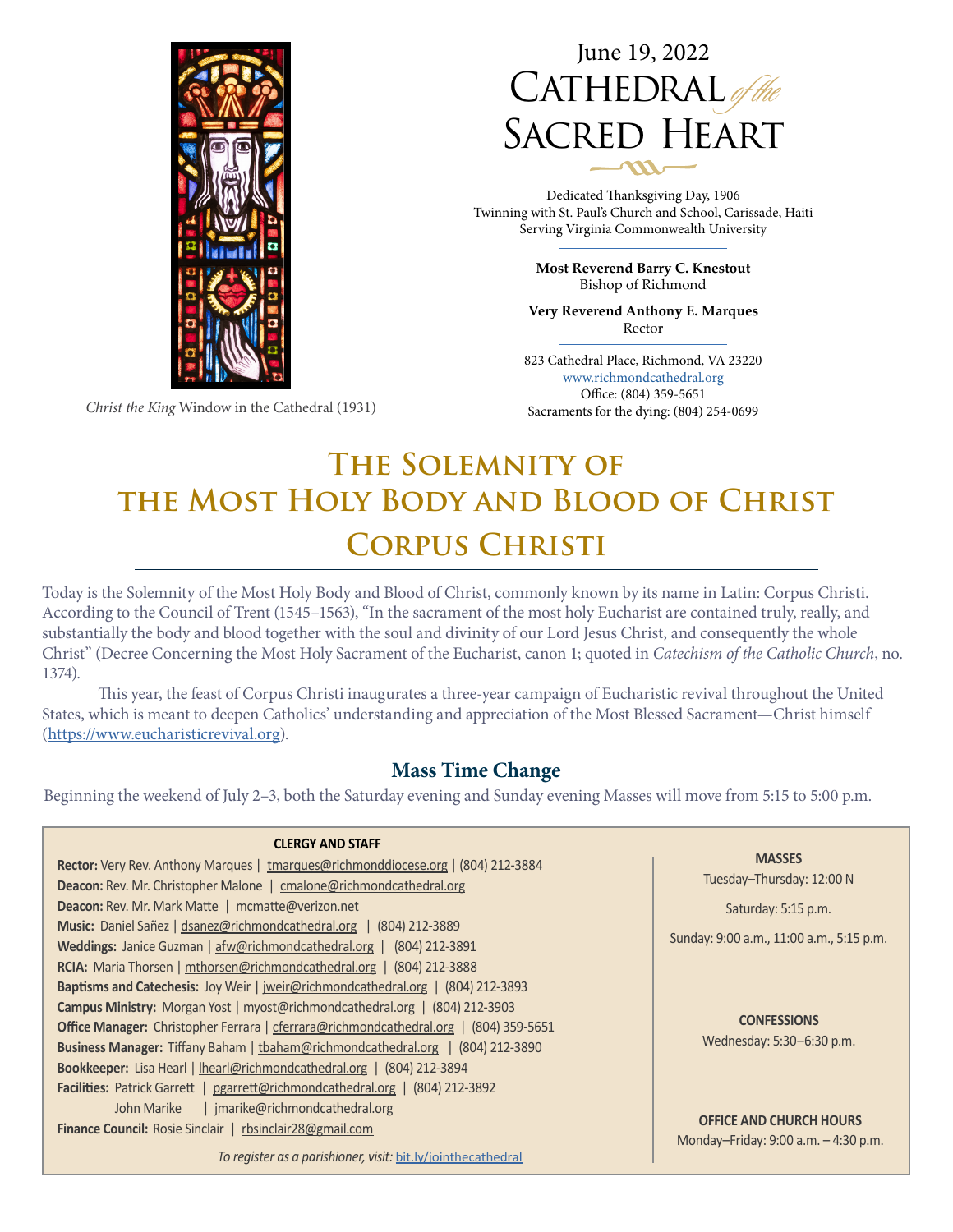

June 19, 2022  $CATHEDRAL$ SACRED HEART

Dedicated Thanksgiving Day, 1906 Twinning with St. Paul's Church and School, Carissade, Haiti Serving Virginia Commonwealth University

> **Most Reverend Barry C. Knestout** Bishop of Richmond

**Very Reverend Anthony E. Marques** Rector

823 Cathedral Place, Richmond, VA 23220 [www.richmondcathedral.org](http://www.richmondcathedral.org) Office: (804) 359-5651 Sacraments for the dying: (804) 254-0699

# **The Solemnity of the Most Holy Body and Blood of Christ Corpus Christi**

Today is the Solemnity of the Most Holy Body and Blood of Christ, commonly known by its name in Latin: Corpus Christi. According to the Council of Trent (1545–1563), "In the sacrament of the most holy Eucharist are contained truly, really, and substantially the body and blood together with the soul and divinity of our Lord Jesus Christ, and consequently the whole Christ" (Decree Concerning the Most Holy Sacrament of the Eucharist, canon 1; quoted in *Catechism of the Catholic Church*, no. 1374).

This year, the feast of Corpus Christi inaugurates a three-year campaign of Eucharistic revival throughout the United States, which is meant to deepen Catholics' understanding and appreciation of the Most Blessed Sacrament—Christ himself ([https://www.eucharisticrevival.org\)](https://www.eucharisticrevival.org).

# **Mass Time Change**

Beginning the weekend of July 2–3, both the Saturday evening and Sunday evening Masses will move from 5:15 to 5:00 p.m.

| <b>CLERGY AND STAFF</b>                                                                |                                          |  |  |
|----------------------------------------------------------------------------------------|------------------------------------------|--|--|
| Rector: Very Rev. Anthony Marques   tmarques@richmonddiocese.org   (804) 212-3884      | <b>MASSES</b>                            |  |  |
| <b>Deacon:</b> Rev. Mr. Christopher Malone   cmalone@richmondcathedral.org             | Tuesday-Thursday: 12:00 N                |  |  |
| Deacon: Rev. Mr. Mark Matte   mcmatte@verizon.net                                      | Saturday: 5:15 p.m.                      |  |  |
| Music: Daniel Sañez   dsanez@richmondcathedral.org   (804) 212-3889                    | Sunday: 9:00 a.m., 11:00 a.m., 5:15 p.m. |  |  |
| Weddings: Janice Guzman   afw@richmondcathedral.org   (804) 212-3891                   |                                          |  |  |
| RCIA: Maria Thorsen   mthorsen@richmondcathedral.org   (804) 212-3888                  |                                          |  |  |
| Baptisms and Catechesis: Joy Weir   jweir@richmondcathedral.org   (804) 212-3893       |                                          |  |  |
| <b>Campus Ministry:</b> Morgan Yost   myost@richmondcathedral.org   (804) 212-3903     |                                          |  |  |
| Office Manager: Christopher Ferrara   cferrara@richmondcathedral.org   (804) 359-5651  | <b>CONFESSIONS</b>                       |  |  |
| <b>Business Manager:</b> Tiffany Baham   tbaham@richmondcathedral.org   (804) 212-3890 | Wednesday: 5:30-6:30 p.m.                |  |  |
| <b>Bookkeeper:</b> Lisa Hearl   lhearl@richmondcathedral.org   (804) 212-3894          |                                          |  |  |
| Facilities: Patrick Garrett   pgarrett@richmondcathedral.org   (804) 212-3892          |                                          |  |  |
| jmarike@richmondcathedral.org<br>John Marike                                           |                                          |  |  |
| Finance Council: Rosie Sinclair   rbsinclair28@gmail.com                               | <b>OFFICE AND CHURCH HOURS</b>           |  |  |
|                                                                                        | Monday-Friday: 9:00 a.m. - 4:30 p.m.     |  |  |
| To register as a parishioner, visit: bit.ly/jointhecathedral                           |                                          |  |  |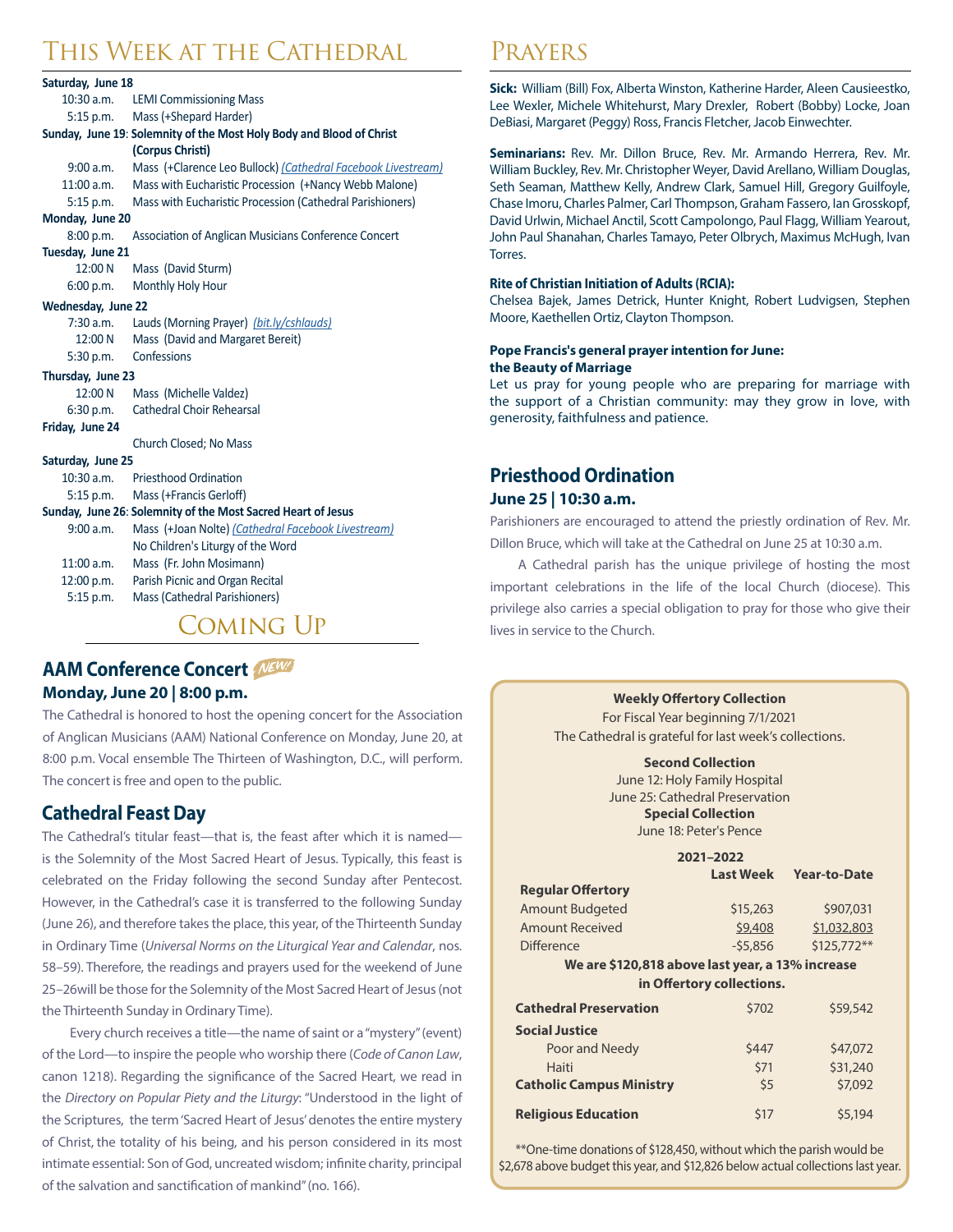# This Week at the Cathedral

| Saturday, June 18                                            |                                                                      |  |  |  |
|--------------------------------------------------------------|----------------------------------------------------------------------|--|--|--|
| $10:30$ a.m.                                                 | <b>LEMI Commissioning Mass</b>                                       |  |  |  |
| 5:15 p.m.                                                    | Mass (+Shepard Harder)                                               |  |  |  |
|                                                              | Sunday, June 19: Solemnity of the Most Holy Body and Blood of Christ |  |  |  |
|                                                              | (Corpus Christi)                                                     |  |  |  |
| 9:00 a.m.                                                    | Mass (+Clarence Leo Bullock) (Cathedral Facebook Livestream)         |  |  |  |
| $11:00$ a.m.                                                 | Mass with Eucharistic Procession (+Nancy Webb Malone)                |  |  |  |
| $5:15$ p.m.                                                  | Mass with Eucharistic Procession (Cathedral Parishioners)            |  |  |  |
| Monday, June 20                                              |                                                                      |  |  |  |
| 8:00 p.m.                                                    | Association of Anglican Musicians Conference Concert                 |  |  |  |
| Tuesday, June 21                                             |                                                                      |  |  |  |
| 12:00 N                                                      | Mass (David Sturm)                                                   |  |  |  |
| 6:00 p.m.                                                    | Monthly Holy Hour                                                    |  |  |  |
| Wednesday, June 22                                           |                                                                      |  |  |  |
| 7:30 a.m.                                                    | Lauds (Morning Prayer) (bit.ly/cshlauds)                             |  |  |  |
| 12:00 N                                                      | Mass (David and Margaret Bereit)                                     |  |  |  |
| 5:30 p.m.                                                    | Confessions                                                          |  |  |  |
| Thursday, June 23                                            |                                                                      |  |  |  |
| 12:00 N                                                      | Mass (Michelle Valdez)                                               |  |  |  |
| 6:30 p.m.                                                    | <b>Cathedral Choir Rehearsal</b>                                     |  |  |  |
| Friday, June 24                                              |                                                                      |  |  |  |
|                                                              | Church Closed; No Mass                                               |  |  |  |
| Saturday, June 25                                            |                                                                      |  |  |  |
| $10:30$ a.m.                                                 | <b>Priesthood Ordination</b>                                         |  |  |  |
| 5:15 p.m.                                                    | Mass (+Francis Gerloff)                                              |  |  |  |
| Sunday, June 26: Solemnity of the Most Sacred Heart of Jesus |                                                                      |  |  |  |
| 9:00 a.m.                                                    | Mass (+Joan Nolte) (Cathedral Facebook Livestream)                   |  |  |  |
|                                                              | No Children's Liturgy of the Word                                    |  |  |  |
| 11:00 a.m.                                                   | Mass (Fr. John Mosimann)                                             |  |  |  |
| 12:00 p.m.                                                   | Parish Picnic and Organ Recital                                      |  |  |  |
| 5:15 p.m.                                                    | Mass (Cathedral Parishioners)                                        |  |  |  |
| MING                                                         |                                                                      |  |  |  |

# **AAM Conference Concert Monday, June 20 | 8:00 p.m.**

The Cathedral is honored to host the opening concert for the Association of Anglican Musicians (AAM) National Conference on Monday, June 20, at 8:00 p.m. Vocal ensemble The Thirteen of Washington, D.C., will perform. The concert is free and open to the public.

# **Cathedral Feast Day**

The Cathedral's titular feast—that is, the feast after which it is named is the Solemnity of the Most Sacred Heart of Jesus. Typically, this feast is celebrated on the Friday following the second Sunday after Pentecost. However, in the Cathedral's case it is transferred to the following Sunday (June 26), and therefore takes the place, this year, of the Thirteenth Sunday in Ordinary Time (*Universal Norms on the Liturgical Year and Calendar*, nos. 58–59). Therefore, the readings and prayers used for the weekend of June 25–26will be those for the Solemnity of the Most Sacred Heart of Jesus (not the Thirteenth Sunday in Ordinary Time).

Every church receives a title—the name of saint or a "mystery" (event) of the Lord—to inspire the people who worship there (*Code of Canon Law*, canon 1218). Regarding the significance of the Sacred Heart, we read in the *Directory on Popular Piety and the Liturgy*: "Understood in the light of the Scriptures, the term 'Sacred Heart of Jesus' denotes the entire mystery of Christ, the totality of his being, and his person considered in its most intimate essential: Son of God, uncreated wisdom; infinite charity, principal of the salvation and sanctification of mankind" (no. 166).

# Prayers

**Sick:** William (Bill) Fox, Alberta Winston, Katherine Harder, Aleen Causieestko, Lee Wexler, Michele Whitehurst, Mary Drexler, Robert (Bobby) Locke, Joan DeBiasi, Margaret (Peggy) Ross, Francis Fletcher, Jacob Einwechter.

**Seminarians:** Rev. Mr. Dillon Bruce, Rev. Mr. Armando Herrera, Rev. Mr. William Buckley, Rev. Mr. Christopher Weyer, David Arellano, William Douglas, Seth Seaman, Matthew Kelly, Andrew Clark, Samuel Hill, Gregory Guilfoyle, Chase Imoru, Charles Palmer, Carl Thompson, Graham Fassero, Ian Grosskopf, David Urlwin, Michael Anctil, Scott Campolongo, Paul Flagg, William Yearout, John Paul Shanahan, Charles Tamayo, Peter Olbrych, Maximus McHugh, Ivan Torres.

#### **Rite of Christian Initiation of Adults (RCIA):**

Chelsea Bajek, James Detrick, Hunter Knight, Robert Ludvigsen, Stephen Moore, Kaethellen Ortiz, Clayton Thompson.

#### **Pope Francis's general prayer intention for June: the Beauty of Marriage**

Let us pray for young people who are preparing for marriage with the support of a Christian community: may they grow in love, with generosity, faithfulness and patience.

# **Priesthood Ordination June 25 | 10:30 a.m.**

**Regular Offertory** 

Parishioners are encouraged to attend the priestly ordination of Rev. Mr. Dillon Bruce, which will take at the Cathedral on June 25 at 10:30 a.m.

A Cathedral parish has the unique privilege of hosting the most important celebrations in the life of the local Church (diocese). This privilege also carries a special obligation to pray for those who give their lives in service to the Church.

#### **Weekly Offertory Collection**

For Fiscal Year beginning 7/1/2021 The Cathedral is grateful for last week's collections.

#### **Second Collection**

June 12: Holy Family Hospital June 25: Cathedral Preservation **Special Collection** June 18: Peter's Pence

| 2021-2022 |                        |  |
|-----------|------------------------|--|
|           | Last Week Year-to-Date |  |
|           |                        |  |

| Amount Budgeted   | \$15,263  | \$907,031   |
|-------------------|-----------|-------------|
| Amount Received   | \$9,408   | \$1,032,803 |
| <b>Difference</b> | $-55.856$ | \$125,772** |

#### **We are \$120,818 above last year, a 13% increase in Offertory collections.**

| <b>Cathedral Preservation</b>   | \$702 | \$59,542 |
|---------------------------------|-------|----------|
| <b>Social Justice</b>           |       |          |
| Poor and Needy                  | \$447 | \$47,072 |
| Haiti                           | \$71  | \$31,240 |
| <b>Catholic Campus Ministry</b> | \$5   | \$7,092  |
| <b>Religious Education</b>      | \$17  | \$5,194  |

\*\*One-time donations of \$128,450, without which the parish would be \$2,678 above budget this year, and \$12,826 below actual collections last year.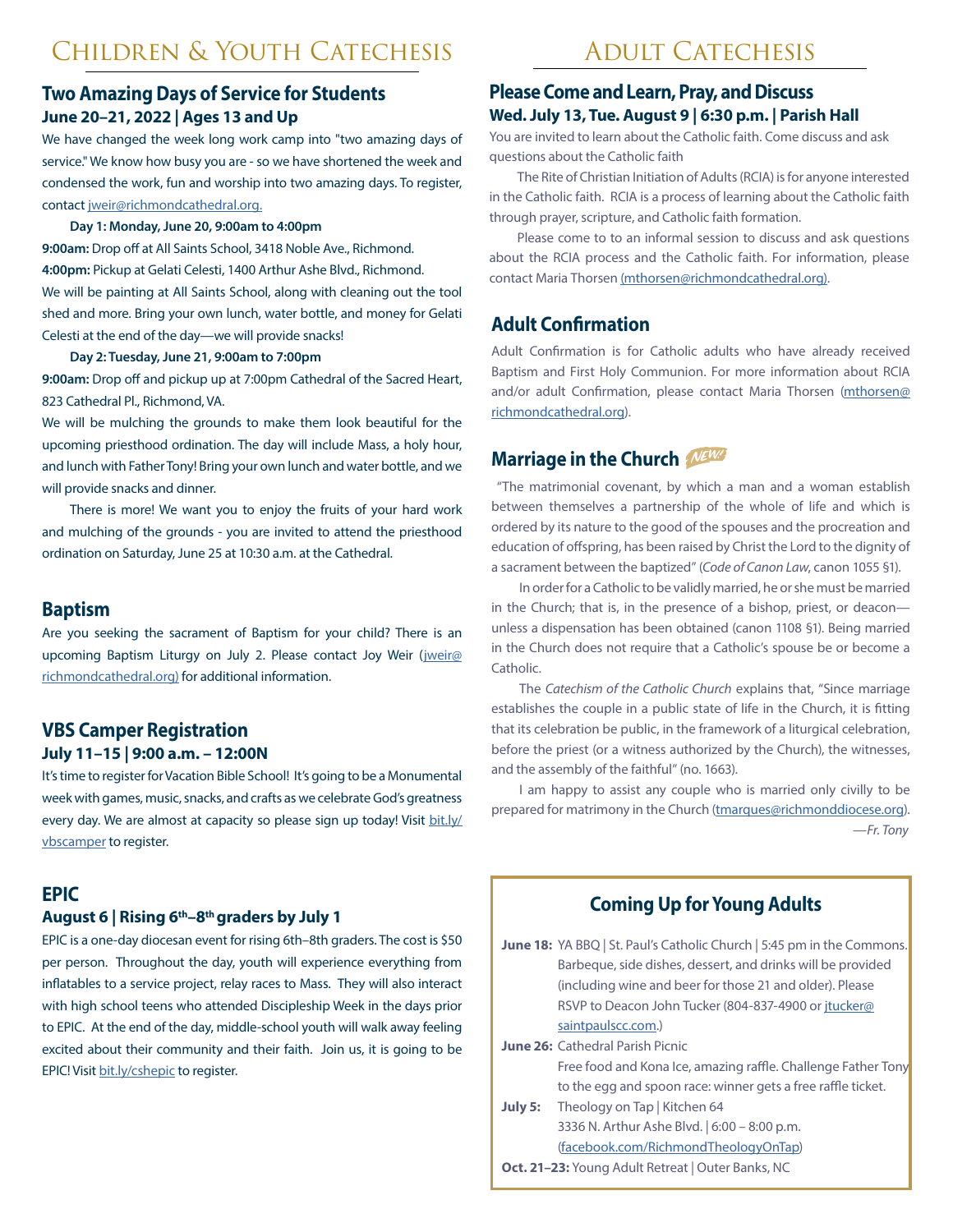# **Two Amazing Days of Service for Students June 20–21, 2022 | Ages 13 and Up**

We have changed the week long work camp into "two amazing days of service." We know how busy you are - so we have shortened the week and condensed the work, fun and worship into two amazing days. To register, contact [jweir@richmondcathedral.org.](http://jweir@richmondcathedral.org)

#### **Day 1: Monday, June 20, 9:00am to 4:00pm**

**9:00am:** Drop off at All Saints School, 3418 Noble Ave., Richmond. **4:00pm:** Pickup at Gelati Celesti, 1400 Arthur Ashe Blvd., Richmond. We will be painting at All Saints School, along with cleaning out the tool shed and more. Bring your own lunch, water bottle, and money for Gelati Celesti at the end of the day—we will provide snacks!

**Day 2: Tuesday, June 21, 9:00am to 7:00pm**

**9:00am:** Drop off and pickup up at 7:00pm Cathedral of the Sacred Heart, 823 Cathedral Pl., Richmond, VA.

We will be mulching the grounds to make them look beautiful for the upcoming priesthood ordination. The day will include Mass, a holy hour, and lunch with Father Tony! Bring your own lunch and water bottle, and we will provide snacks and dinner.

There is more! We want you to enjoy the fruits of your hard work and mulching of the grounds - you are invited to attend the priesthood ordination on Saturday, June 25 at 10:30 a.m. at the Cathedral.

## **Baptism**

Are you seeking the sacrament of Baptism for your child? There is an upcoming Baptism Liturgy on July 2. Please contact Joy Weir ([jweir@](http://jweir@richmondcathedral.org) [richmondcathedral.org\)](http://jweir@richmondcathedral.org) for additional information.

## **VBS Camper Registration July 11–15 | 9:00 a.m. – 12:00N**

It's time to register for Vacation Bible School! It's going to be a Monumental week with games, music, snacks, and crafts as we celebrate God's greatness every day. We are almost at capacity so please sign up today! Visit [bit.ly/](http://bit.ly/vbscsh) [vbsc](http://bit.ly/vbscsh)amper to register.

## **EPIC**

#### **August 6 | Rising 6th–8th graders by July 1**

EPIC is a one-day diocesan event for rising 6th–8th graders. The cost is \$50 per person. Throughout the day, youth will experience everything from inflatables to a service project, relay races to Mass. They will also interact with high school teens who attended Discipleship Week in the days prior to EPIC. At the end of the day, middle-school youth will walk away feeling excited about their community and their faith. Join us, it is going to be EPIC! Visit [bit.ly/cshepic](https://evangelizerichmond.org/wp-content/uploads/2022/02/EPIC-Youth-Registration-Form-2022.pdf) to register.

# **Please Come and Learn, Pray, and Discuss Wed. July 13, Tue. August 9 | 6:30 p.m. | Parish Hall**

You are invited to learn about the Catholic faith. Come discuss and ask questions about the Catholic faith

The Rite of Christian Initiation of Adults (RCIA) is for anyone interested in the Catholic faith. RCIA is a process of learning about the Catholic faith through prayer, scripture, and Catholic faith formation.

Please come to to an informal session to discuss and ask questions about the RCIA process and the Catholic faith. For information, please contact Maria Thorsen [\(mthorsen@richmondcathedral.org](mailto:mthorsen%40richmondcathedral.org?subject=)).

# **Adult Confirmation**

Adult Confirmation is for Catholic adults who have already received Baptism and First Holy Communion. For more information about RCIA and/or adult Confirmation, please contact Maria Thorsen [\(mthorsen@](mailto:mthorsen%40richmondcathedral.org?subject=) [richmondcathedral.org](mailto:mthorsen%40richmondcathedral.org?subject=)).

# **Marriage in the Church**

 "The matrimonial covenant, by which a man and a woman establish between themselves a partnership of the whole of life and which is ordered by its nature to the good of the spouses and the procreation and education of offspring, has been raised by Christ the Lord to the dignity of a sacrament between the baptized" (*Code of Canon Law*, canon 1055 §1).

In order for a Catholic to be validly married, he or she must be married in the Church; that is, in the presence of a bishop, priest, or deacon unless a dispensation has been obtained (canon 1108 §1). Being married in the Church does not require that a Catholic's spouse be or become a Catholic.

The *Catechism of the Catholic Church* explains that, "Since marriage establishes the couple in a public state of life in the Church, it is fitting that its celebration be public, in the framework of a liturgical celebration, before the priest (or a witness authorized by the Church), the witnesses, and the assembly of the faithful" (no. 1663).

I am happy to assist any couple who is married only civilly to be prepared for matrimony in the Church [\(tmarques@richmonddiocese.org\)](mailto:tmarques%40richmonddiocese.org?subject=). —*Fr. Tony*

# **Coming Up for Young Adults**

June 18: YA BBQ | St. Paul's Catholic Church | 5:45 pm in the Commons. Barbeque, side dishes, dessert, and drinks will be provided (including wine and beer for those 21 and older). Please RSVP to Deacon John Tucker (804-837-4900 or [jtucker@](mailto:jtucker%40saintpaulscc.com?subject=)  [saintpaulscc.com.](mailto:jtucker%40saintpaulscc.com?subject=))

- **June 26: Cathedral Parish Picnic** Free food and Kona Ice, amazing raffle. Challenge Father Tony to the egg and spoon race: winner gets a free raffle ticket.
- **July 5:** Theology on Tap | Kitchen 64 3336 N. Arthur Ashe Blvd. | 6:00 – 8:00 p.m. ([facebook.com/RichmondTheologyOnTap\)](http://facebook.com/RichmondTheologyOnTap)
- **Oct. 21–23:** Young Adult Retreat | Outer Banks, NC